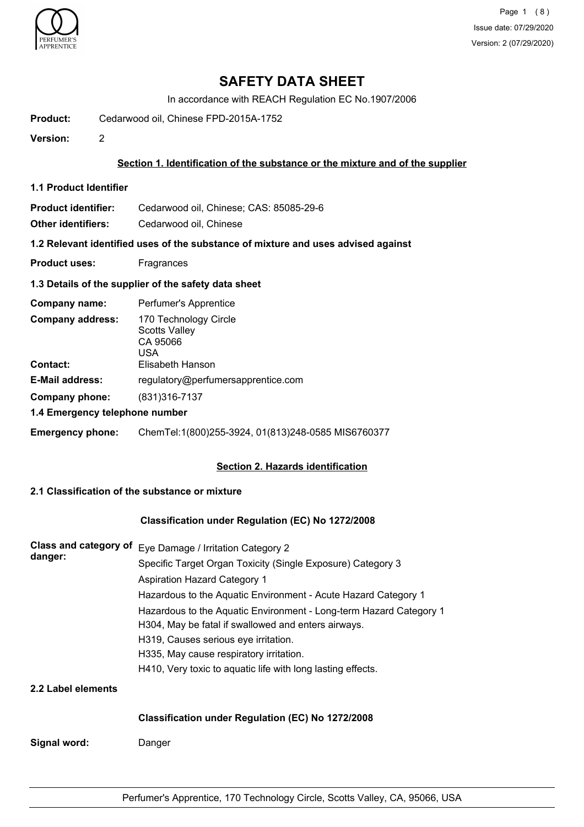

Page 1 (8) Issue date: 07/29/2020 Version: 2 (07/29/2020)

# **SAFETY DATA SHEET**

In accordance with REACH Regulation EC No.1907/2006

**Product:** Cedarwood oil, Chinese FPD-2015A-1752

**Version:** 2

#### **Section 1. Identification of the substance or the mixture and of the supplier**

**1.1 Product Identifier**

**Product identifier:** Cedarwood oil, Chinese; CAS: 85085-29-6

**Other identifiers:** Cedarwood oil, Chinese

**1.2 Relevant identified uses of the substance of mixture and uses advised against**

**Product uses:** Fragrances

### **1.3 Details of the supplier of the safety data sheet**

| Company name:                              | Perfumer's Apprentice                                                                |
|--------------------------------------------|--------------------------------------------------------------------------------------|
| <b>Company address:</b><br><b>Contact:</b> | 170 Technology Circle<br><b>Scotts Valley</b><br>CA 95066<br>USA<br>Elisabeth Hanson |
| <b>E-Mail address:</b>                     | regulatory@perfumersapprentice.com                                                   |
|                                            |                                                                                      |
| Company phone:                             | (831) 316 - 7137                                                                     |
| 1.4 Emergency telephone number             |                                                                                      |
| <b>Emergency phone:</b>                    | ChemTel:1(800)255-3924, 01(813)248-0585 MIS6760377                                   |

### **Section 2. Hazards identification**

## **2.1 Classification of the substance or mixture**

#### **Classification under Regulation (EC) No 1272/2008**

| Class and category of<br>danger: | Eye Damage / Irritation Category 2                                 |  |  |
|----------------------------------|--------------------------------------------------------------------|--|--|
|                                  | Specific Target Organ Toxicity (Single Exposure) Category 3        |  |  |
|                                  | <b>Aspiration Hazard Category 1</b>                                |  |  |
|                                  | Hazardous to the Aquatic Environment - Acute Hazard Category 1     |  |  |
|                                  | Hazardous to the Aquatic Environment - Long-term Hazard Category 1 |  |  |
|                                  | H304, May be fatal if swallowed and enters airways.                |  |  |
|                                  | H319, Causes serious eye irritation.                               |  |  |
|                                  | H335, May cause respiratory irritation.                            |  |  |
|                                  | H410, Very toxic to aquatic life with long lasting effects.        |  |  |
| 2.2 Label elements               |                                                                    |  |  |
|                                  | Classification under Regulation (EC) No 1272/2008                  |  |  |
| Signal word:                     | Danger                                                             |  |  |
|                                  |                                                                    |  |  |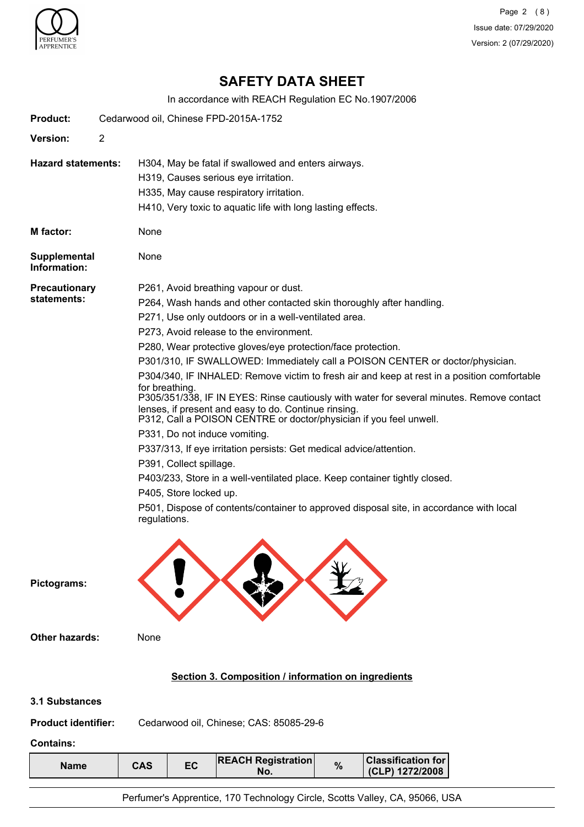

Page 2 (8) Issue date: 07/29/2020 Version: 2 (07/29/2020)

# **SAFETY DATA SHEET**

In accordance with REACH Regulation EC No.1907/2006

| <b>Product:</b>                                                  | Cedarwood oil, Chinese FPD-2015A-1752                                                                                                                                                                                                                                                                                                                                                                                                                                                                                                                                                                                                                                                                                                                                                                                                                                                                                                                                                                                                                                |
|------------------------------------------------------------------|----------------------------------------------------------------------------------------------------------------------------------------------------------------------------------------------------------------------------------------------------------------------------------------------------------------------------------------------------------------------------------------------------------------------------------------------------------------------------------------------------------------------------------------------------------------------------------------------------------------------------------------------------------------------------------------------------------------------------------------------------------------------------------------------------------------------------------------------------------------------------------------------------------------------------------------------------------------------------------------------------------------------------------------------------------------------|
| Version:                                                         | $\overline{2}$                                                                                                                                                                                                                                                                                                                                                                                                                                                                                                                                                                                                                                                                                                                                                                                                                                                                                                                                                                                                                                                       |
| <b>Hazard statements:</b>                                        | H304, May be fatal if swallowed and enters airways.<br>H319, Causes serious eye irritation.<br>H335, May cause respiratory irritation.<br>H410, Very toxic to aquatic life with long lasting effects.                                                                                                                                                                                                                                                                                                                                                                                                                                                                                                                                                                                                                                                                                                                                                                                                                                                                |
| M factor:                                                        | None                                                                                                                                                                                                                                                                                                                                                                                                                                                                                                                                                                                                                                                                                                                                                                                                                                                                                                                                                                                                                                                                 |
| <b>Supplemental</b><br>Information:                              | None                                                                                                                                                                                                                                                                                                                                                                                                                                                                                                                                                                                                                                                                                                                                                                                                                                                                                                                                                                                                                                                                 |
| <b>Precautionary</b><br>statements:                              | P261, Avoid breathing vapour or dust.<br>P264, Wash hands and other contacted skin thoroughly after handling.<br>P271, Use only outdoors or in a well-ventilated area.<br>P273, Avoid release to the environment.<br>P280, Wear protective gloves/eye protection/face protection.<br>P301/310, IF SWALLOWED: Immediately call a POISON CENTER or doctor/physician.<br>P304/340, IF INHALED: Remove victim to fresh air and keep at rest in a position comfortable<br>for breathing.<br>P305/351/338, IF IN EYES: Rinse cautiously with water for several minutes. Remove contact<br>lenses, if present and easy to do. Continue rinsing.<br>P312, Call a POISON CENTRE or doctor/physician if you feel unwell.<br>P331, Do not induce vomiting.<br>P337/313, If eye irritation persists: Get medical advice/attention.<br>P391, Collect spillage.<br>P403/233, Store in a well-ventilated place. Keep container tightly closed.<br>P405, Store locked up.<br>P501, Dispose of contents/container to approved disposal site, in accordance with local<br>regulations. |
| Pictograms:                                                      |                                                                                                                                                                                                                                                                                                                                                                                                                                                                                                                                                                                                                                                                                                                                                                                                                                                                                                                                                                                                                                                                      |
| <b>Other hazards:</b>                                            | None                                                                                                                                                                                                                                                                                                                                                                                                                                                                                                                                                                                                                                                                                                                                                                                                                                                                                                                                                                                                                                                                 |
|                                                                  | Section 3. Composition / information on ingredients                                                                                                                                                                                                                                                                                                                                                                                                                                                                                                                                                                                                                                                                                                                                                                                                                                                                                                                                                                                                                  |
| 3.1 Substances<br><b>Product identifier:</b><br><b>Contains:</b> | Cedarwood oil, Chinese; CAS: 85085-29-6                                                                                                                                                                                                                                                                                                                                                                                                                                                                                                                                                                                                                                                                                                                                                                                                                                                                                                                                                                                                                              |
| <b>Name</b>                                                      | <b>Classification for</b><br><b>REACH Registration</b><br>EC<br>$\%$<br><b>CAS</b><br>(CLP) 1272/2008<br>No.                                                                                                                                                                                                                                                                                                                                                                                                                                                                                                                                                                                                                                                                                                                                                                                                                                                                                                                                                         |
|                                                                  | Perfumer's Apprentice, 170 Technology Circle, Scotts Valley, CA, 95066, USA                                                                                                                                                                                                                                                                                                                                                                                                                                                                                                                                                                                                                                                                                                                                                                                                                                                                                                                                                                                          |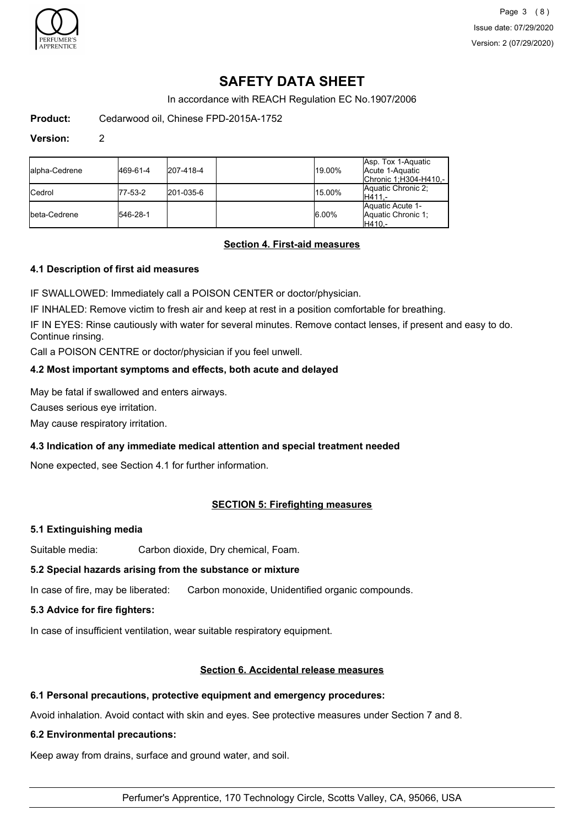

Page 3 (8) Issue date: 07/29/2020 Version: 2 (07/29/2020)

# **SAFETY DATA SHEET**

In accordance with REACH Regulation EC No.1907/2006

**Product:** Cedarwood oil, Chinese FPD-2015A-1752

#### **Version:** 2

| lalpha-Cedrene | 469-61-4 | 207-418-4 | 19.00%   | Asp. Tox 1-Aquatic<br>Acute 1-Aquatic<br>Chronic 1; H304-H410 - |
|----------------|----------|-----------|----------|-----------------------------------------------------------------|
| <b>ICedrol</b> | 77-53-2  | 201-035-6 | 15.00%   | Aquatic Chronic 2;<br>IH411.-                                   |
| Ibeta-Cedrene  | 546-28-1 |           | $6.00\%$ | Aquatic Acute 1-<br>Aquatic Chronic 1:<br>H410.-                |

# **Section 4. First-aid measures**

#### **4.1 Description of first aid measures**

IF SWALLOWED: Immediately call a POISON CENTER or doctor/physician.

IF INHALED: Remove victim to fresh air and keep at rest in a position comfortable for breathing.

IF IN EYES: Rinse cautiously with water for several minutes. Remove contact lenses, if present and easy to do. Continue rinsing.

Call a POISON CENTRE or doctor/physician if you feel unwell.

#### **4.2 Most important symptoms and effects, both acute and delayed**

May be fatal if swallowed and enters airways.

Causes serious eye irritation.

May cause respiratory irritation.

### **4.3 Indication of any immediate medical attention and special treatment needed**

None expected, see Section 4.1 for further information.

### **SECTION 5: Firefighting measures**

#### **5.1 Extinguishing media**

Suitable media: Carbon dioxide, Dry chemical, Foam.

#### **5.2 Special hazards arising from the substance or mixture**

In case of fire, may be liberated: Carbon monoxide, Unidentified organic compounds.

## **5.3 Advice for fire fighters:**

In case of insufficient ventilation, wear suitable respiratory equipment.

### **Section 6. Accidental release measures**

#### **6.1 Personal precautions, protective equipment and emergency procedures:**

Avoid inhalation. Avoid contact with skin and eyes. See protective measures under Section 7 and 8.

#### **6.2 Environmental precautions:**

Keep away from drains, surface and ground water, and soil.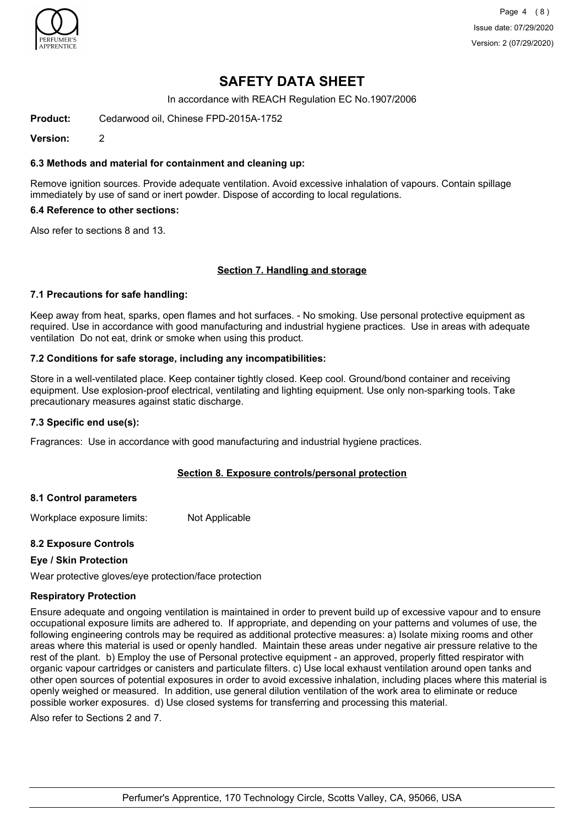

Page 4 (8) Issue date: 07/29/2020 Version: 2 (07/29/2020)

# **SAFETY DATA SHEET**

In accordance with REACH Regulation EC No.1907/2006

**Product:** Cedarwood oil, Chinese FPD-2015A-1752

**Version:** 2

#### **6.3 Methods and material for containment and cleaning up:**

Remove ignition sources. Provide adequate ventilation. Avoid excessive inhalation of vapours. Contain spillage immediately by use of sand or inert powder. Dispose of according to local regulations.

#### **6.4 Reference to other sections:**

Also refer to sections 8 and 13.

#### **Section 7. Handling and storage**

#### **7.1 Precautions for safe handling:**

Keep away from heat, sparks, open flames and hot surfaces. - No smoking. Use personal protective equipment as required. Use in accordance with good manufacturing and industrial hygiene practices. Use in areas with adequate ventilation Do not eat, drink or smoke when using this product.

#### **7.2 Conditions for safe storage, including any incompatibilities:**

Store in a well-ventilated place. Keep container tightly closed. Keep cool. Ground/bond container and receiving equipment. Use explosion-proof electrical, ventilating and lighting equipment. Use only non-sparking tools. Take precautionary measures against static discharge.

#### **7.3 Specific end use(s):**

Fragrances: Use in accordance with good manufacturing and industrial hygiene practices.

### **Section 8. Exposure controls/personal protection**

#### **8.1 Control parameters**

Workplace exposure limits: Not Applicable

### **8.2 Exposure Controls**

### **Eye / Skin Protection**

Wear protective gloves/eye protection/face protection

#### **Respiratory Protection**

Ensure adequate and ongoing ventilation is maintained in order to prevent build up of excessive vapour and to ensure occupational exposure limits are adhered to. If appropriate, and depending on your patterns and volumes of use, the following engineering controls may be required as additional protective measures: a) Isolate mixing rooms and other areas where this material is used or openly handled. Maintain these areas under negative air pressure relative to the rest of the plant. b) Employ the use of Personal protective equipment - an approved, properly fitted respirator with organic vapour cartridges or canisters and particulate filters. c) Use local exhaust ventilation around open tanks and other open sources of potential exposures in order to avoid excessive inhalation, including places where this material is openly weighed or measured. In addition, use general dilution ventilation of the work area to eliminate or reduce possible worker exposures. d) Use closed systems for transferring and processing this material.

Also refer to Sections 2 and 7.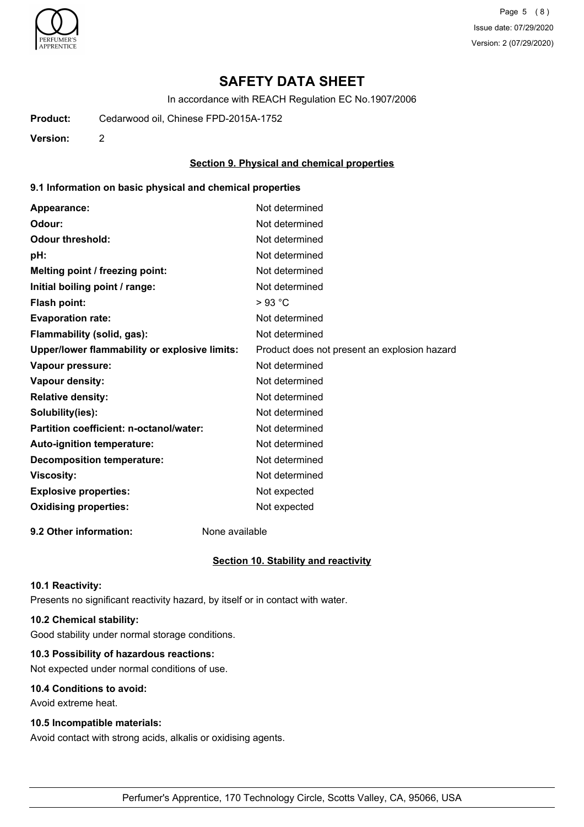

Page 5 (8) Issue date: 07/29/2020 Version: 2 (07/29/2020)

# **SAFETY DATA SHEET**

In accordance with REACH Regulation EC No.1907/2006

**Product:** Cedarwood oil, Chinese FPD-2015A-1752

**Version:** 2

### **Section 9. Physical and chemical properties**

#### **9.1 Information on basic physical and chemical properties**

| Appearance:                                   | Not determined                               |
|-----------------------------------------------|----------------------------------------------|
| Odour:                                        | Not determined                               |
| <b>Odour threshold:</b>                       | Not determined                               |
| pH:                                           | Not determined                               |
| Melting point / freezing point:               | Not determined                               |
| Initial boiling point / range:                | Not determined                               |
| <b>Flash point:</b>                           | >93 °C                                       |
| <b>Evaporation rate:</b>                      | Not determined                               |
| Flammability (solid, gas):                    | Not determined                               |
| Upper/lower flammability or explosive limits: | Product does not present an explosion hazard |
| Vapour pressure:                              | Not determined                               |
| <b>Vapour density:</b>                        | Not determined                               |
| <b>Relative density:</b>                      | Not determined                               |
| Solubility(ies):                              | Not determined                               |
| Partition coefficient: n-octanol/water:       | Not determined                               |
| Auto-ignition temperature:                    | Not determined                               |
| <b>Decomposition temperature:</b>             | Not determined                               |
| <b>Viscosity:</b>                             | Not determined                               |
| <b>Explosive properties:</b>                  | Not expected                                 |
| <b>Oxidising properties:</b>                  | Not expected                                 |
|                                               |                                              |

**9.2 Other information:** None available

#### **Section 10. Stability and reactivity**

#### **10.1 Reactivity:**

Presents no significant reactivity hazard, by itself or in contact with water.

## **10.2 Chemical stability:**

Good stability under normal storage conditions.

# **10.3 Possibility of hazardous reactions:**

Not expected under normal conditions of use.

# **10.4 Conditions to avoid:**

Avoid extreme heat.

## **10.5 Incompatible materials:**

Avoid contact with strong acids, alkalis or oxidising agents.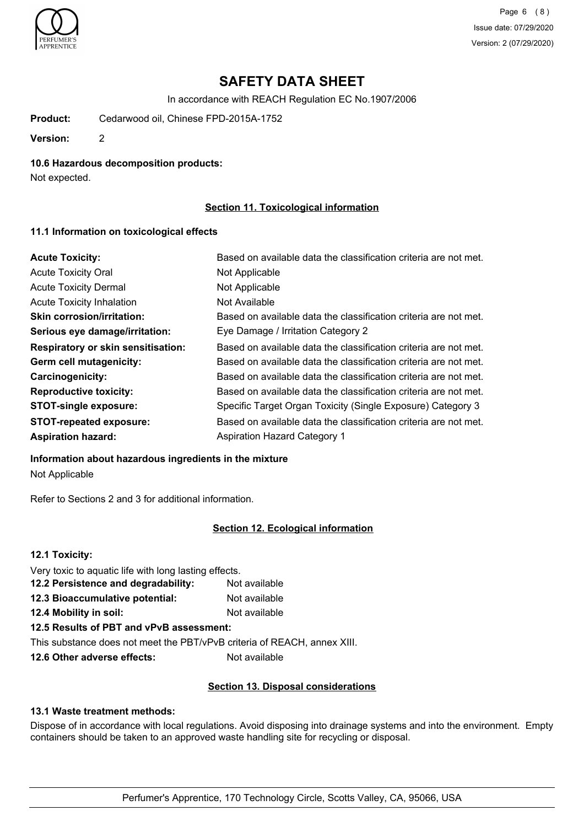

Page 6 (8) Issue date: 07/29/2020 Version: 2 (07/29/2020)

# **SAFETY DATA SHEET**

In accordance with REACH Regulation EC No.1907/2006

**Product:** Cedarwood oil, Chinese FPD-2015A-1752

**Version:** 2

#### **10.6 Hazardous decomposition products:**

Not expected.

## **Section 11. Toxicological information**

#### **11.1 Information on toxicological effects**

| <b>Acute Toxicity:</b>                    | Based on available data the classification criteria are not met. |
|-------------------------------------------|------------------------------------------------------------------|
| <b>Acute Toxicity Oral</b>                | Not Applicable                                                   |
| <b>Acute Toxicity Dermal</b>              | Not Applicable                                                   |
| <b>Acute Toxicity Inhalation</b>          | Not Available                                                    |
| <b>Skin corrosion/irritation:</b>         | Based on available data the classification criteria are not met. |
| Serious eye damage/irritation:            | Eye Damage / Irritation Category 2                               |
| <b>Respiratory or skin sensitisation:</b> | Based on available data the classification criteria are not met. |
| Germ cell mutagenicity:                   | Based on available data the classification criteria are not met. |
| <b>Carcinogenicity:</b>                   | Based on available data the classification criteria are not met. |
| <b>Reproductive toxicity:</b>             | Based on available data the classification criteria are not met. |
| <b>STOT-single exposure:</b>              | Specific Target Organ Toxicity (Single Exposure) Category 3      |
| <b>STOT-repeated exposure:</b>            | Based on available data the classification criteria are not met. |
| <b>Aspiration hazard:</b>                 | <b>Aspiration Hazard Category 1</b>                              |

#### **Information about hazardous ingredients in the mixture**

Not Applicable

Refer to Sections 2 and 3 for additional information.

### **Section 12. Ecological information**

| 12.1 Toxicity:                                        |               |
|-------------------------------------------------------|---------------|
| Very toxic to aquatic life with long lasting effects. |               |
| 12.2 Persistence and degradability:                   | Not available |
| 12.3 Bioaccumulative potential:                       | Not available |
| 12.4 Mobility in soil:                                | Not available |
| 12.5 Results of PBT and vPvB assessment:              |               |

This substance does not meet the PBT/vPvB criteria of REACH, annex XIII.

**12.6 Other adverse effects:** Not available

### **Section 13. Disposal considerations**

## **13.1 Waste treatment methods:**

Dispose of in accordance with local regulations. Avoid disposing into drainage systems and into the environment. Empty containers should be taken to an approved waste handling site for recycling or disposal.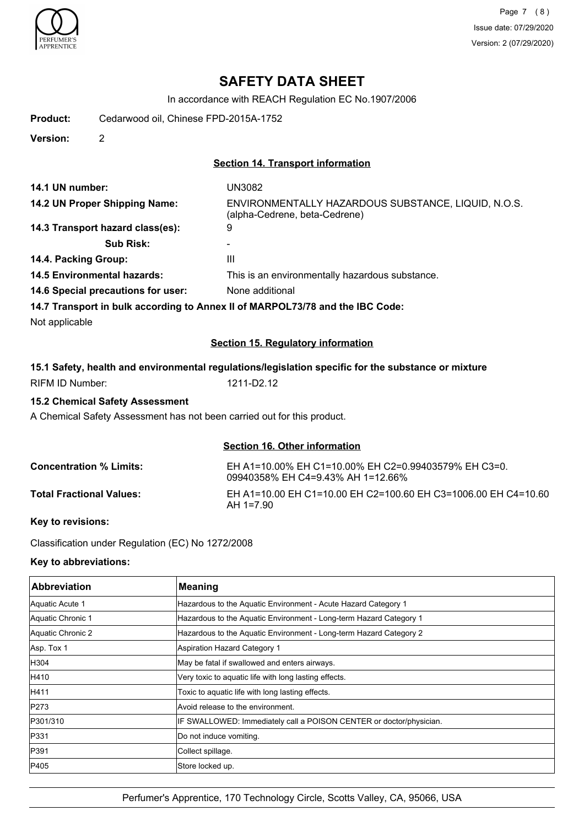

# **SAFETY DATA SHEET**

In accordance with REACH Regulation EC No.1907/2006

**Product:** Cedarwood oil, Chinese FPD-2015A-1752

**Version:** 2

## **Section 14. Transport information**

| 14.1 UN number:                                                               | <b>UN3082</b>                                                                        |
|-------------------------------------------------------------------------------|--------------------------------------------------------------------------------------|
| 14.2 UN Proper Shipping Name:                                                 | ENVIRONMENTALLY HAZARDOUS SUBSTANCE, LIQUID, N.O.S.<br>(alpha-Cedrene, beta-Cedrene) |
| 14.3 Transport hazard class(es):                                              | 9                                                                                    |
| <b>Sub Risk:</b>                                                              |                                                                                      |
| 14.4. Packing Group:                                                          | Ш                                                                                    |
| <b>14.5 Environmental hazards:</b>                                            | This is an environmentally hazardous substance.                                      |
| 14.6 Special precautions for user:                                            | None additional                                                                      |
| 14.7 Transport in bulk according to Annex II of MARPOL73/78 and the IBC Code: |                                                                                      |
| Not applicable                                                                |                                                                                      |
|                                                                               | <b>Section 15. Regulatory information</b>                                            |

# **15.1 Safety, health and environmental regulations/legislation specific for the substance or mixture** RIFM ID Number: 1211-D2.12

### **15.2 Chemical Safety Assessment**

A Chemical Safety Assessment has not been carried out for this product.

# **Section 16. Other information**

| <b>Concentration % Limits:</b>  | EH A1=10.00% EH C1=10.00% EH C2=0.99403579% EH C3=0.<br>09940358% EH C4=9.43% AH 1=12.66% |
|---------------------------------|-------------------------------------------------------------------------------------------|
| <b>Total Fractional Values:</b> | EH A1=10.00 EH C1=10.00 EH C2=100.60 EH C3=1006.00 EH C4=10.60<br>AH 1=7.90               |

## **Key to revisions:**

Classification under Regulation (EC) No 1272/2008

### **Key to abbreviations:**

| Abbreviation      | <b>Meaning</b>                                                      |
|-------------------|---------------------------------------------------------------------|
| Aquatic Acute 1   | Hazardous to the Aquatic Environment - Acute Hazard Category 1      |
| Aquatic Chronic 1 | Hazardous to the Aquatic Environment - Long-term Hazard Category 1  |
| Aquatic Chronic 2 | Hazardous to the Aquatic Environment - Long-term Hazard Category 2  |
| Asp. Tox 1        | Aspiration Hazard Category 1                                        |
| H304              | May be fatal if swallowed and enters airways.                       |
| H410              | Very toxic to aquatic life with long lasting effects.               |
| H411              | Toxic to aquatic life with long lasting effects.                    |
| P273              | Avoid release to the environment.                                   |
| P301/310          | IF SWALLOWED: Immediately call a POISON CENTER or doctor/physician. |
| P331              | Do not induce vomiting.                                             |
| P391              | Collect spillage.                                                   |
| P405              | Store locked up.                                                    |